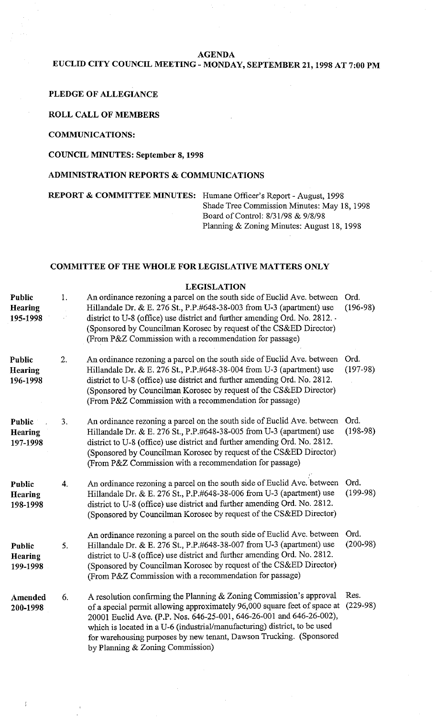#### **AGENDA**

## **EUCLID CITY COUNCIL MEETING** - **MONDAY, SEPTEMBER 21,1998 AT 7:00 PM**

#### **PLEDGE OF ALLEGIANCE**

#### **ROLL CALL OF MEMBERS**

### **COMMUNICATIONS:**

### **COUNCIL MINUTES: September 8,1998**

### **ADMINISTRATION REPORTS** & **COMMUNICATIONS**

**REPORT** & **COMMITTEE MINUTES:** Humane Officer's Report - August, 1998

Shade Tree Commission Minutes: May 18, 1998 Board of Control: 8/31/98 & 9/8/98 Planning & Zoning Minutes: August 18, 1998

#### **COMMITTEE OF THE WHOLE FOR LEGISLATIVE MATTERS ONLY**

#### **Public Hearing 195-1998 Public Hearing 196-1998 Public** . **Hearing 197-1998 Public Hearing 198-1998 Public Hearing 199-1998 Amended 200-1998 LEGISLATION**  1. An ordinance rezoning a parcel on the south side of Euclid Ave. between Ord. Hillandale Dr. & E. 276 St., P.P.#648-38-003 from U-3 (apartment) use (196-98) district to U-8 (office) use district and further amending Ord. No. 2812. - (Sponsored by Councilman Korosec by request of the CS&ED Director) (From P&Z Commission with a recommendation for passage) 2. An ordinance rezoning a parcel on the south side of Euclid Ave. between Ord. Hillandale Dr. & E. 276 St., P.P.#648-38-004 from U-3 (apartment) use (197-98) district to U-8 (office) use district and further amending Ord. No. 2812. (Sponsored by Councilman Korosec by request of the CS&ED Director) (From P&Z Commission with a recommendation for passage) **3.** An ordinance rezoning a parcel on the south side of Euclid Ave. between Ord. Hillandale Dr. & E. 276 St., P.P.#648-38-005 from U-3 (apartment) use (198-98) district to U-8 (office) use district and further amending Ord. No. 2812. (Sponsored by Councilman Korosec by request of the CS&ED Director) (From P&Z Commission with a recommendation for passage) 4. An ordinance rezoning a parcel on the south side of Euclid Ave. between Ord. Hillandale Dr. & E. 276 St., P.P.#648-38-006 from U-3 (apartment) use (199-98) district to U-8 (office) use district and further amending Ord. No. 2812. (Sponsored by Councilman Korosec by request of the CS&ED Director) An ordinance rezoning a parcel on the south side of Euclid Ave. between Ord. *5.* Hillandale Dr. & E. 276 St., P.P.#648-38-007 from U-3 (apartment) use (200-98) district to U-8 (office) use district and further amending Ord. No. 2812. (Sponsored by Councilman Korosec by request of the CS&ED Director) (From P&Z Commission with a recommendation for passage) 6. A resolution confirming the Planning & Zoning Commission's approval Res. of a special permit allowing approximately 96,000 square feet of space at (229-98) 20001 Euclid Ave. (P.P. Nos. 646-25-001,646-26-001 and 646-26-002), which is located in a U-6 (industrial/manufacturing) district, to be used for warehousing purposes by new tenant, Dawson Trucking. (Sponsored by Planning & Zoning Commission)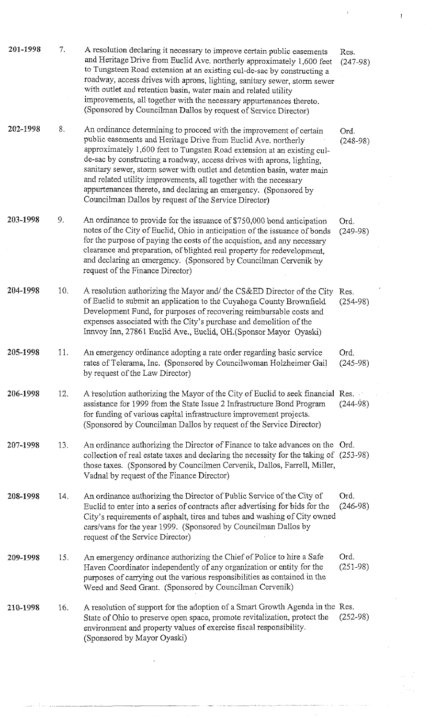| 201-1998 | 7.  | A resolution declaring it necessary to improve certain public easements<br>and Heritage Drive from Euclid Ave. northerly approximately 1,600 feet<br>to Tungsteen Road extension at an existing cul-de-sac by constructing a<br>roadway, access drives with aprons, lighting, sanitary sewer, storm sewer<br>with outlet and retention basin, water main and related utility<br>improvements, all together with the necessary appurtenances thereto.<br>(Sponsored by Councilman Dallos by request of Service Director)                                                 | Res.<br>$(247-98)$   |
|----------|-----|-------------------------------------------------------------------------------------------------------------------------------------------------------------------------------------------------------------------------------------------------------------------------------------------------------------------------------------------------------------------------------------------------------------------------------------------------------------------------------------------------------------------------------------------------------------------------|----------------------|
| 202-1998 | 8.  | An ordinance determining to proceed with the improvement of certain<br>public easements and Heritage Drive from Euclid Ave. northerly<br>approximately 1,600 feet to Tungsten Road extension at an existing cul-<br>de-sac by constructing a roadway, access drives with aprons, lighting,<br>sanitary sewer, storm sewer with outlet and detention basin, water main<br>and related utility improvements, all together with the necessary<br>appurtenances thereto, and declaring an emergency. (Sponsored by<br>Councilman Dallos by request of the Service Director) | Ord.<br>$(248-98)$   |
| 203-1998 | 9.  | An ordinance to provide for the issuance of \$750,000 bond anticipation<br>notes of the City of Euclid, Ohio in anticipation of the issuance of bonds<br>for the purpose of paying the costs of the acquistion, and any necessary<br>clearance and preparation, of blighted real property for redevelopment,<br>and declaring an emergency. (Sponsored by Councilman Cervenik by<br>request of the Finance Director)                                                                                                                                                    | Ord.<br>$(249-98)$   |
| 204-1998 | 10. | A resolution authorizing the Mayor and/ the CS&ED Director of the City<br>of Euclid to submit an application to the Cuyahoga County Brownfield<br>Development Fund, for purposes of recovering reimbursable costs and<br>expenses associated with the City's purchase and demolition of the<br>Innvoy Inn, 27861 Euclid Ave., Euclid, OH. (Sponsor Mayor Oyaski)                                                                                                                                                                                                        | Res.<br>$(254 - 98)$ |
| 205-1998 | 11. | An emergency ordinance adopting a rate order regarding basic service<br>rates of Telerama, Inc. (Sponsored by Councilwoman Holzheimer Gail<br>by request of the Law Director)                                                                                                                                                                                                                                                                                                                                                                                           | Ord.<br>$(245-98)$   |
| 206-1998 | 12. | A resolution authorizing the Mayor of the City of Euclid to seek financial Res.<br>assistance for 1999 from the State Issue 2 Infrastructure Bond Program<br>for funding of various capital infrastructure improvement projects.<br>(Sponsored by Councilman Dallos by request of the Service Director)                                                                                                                                                                                                                                                                 | $(244-98)$           |
| 207-1998 | 13. | An ordinance authorizing the Director of Finance to take advances on the Ord.<br>collection of real estate taxes and declaring the necessity for the taking of (253-98)<br>those taxes. (Sponsored by Councilmen Cervenik, Dallos, Farrell, Miller,<br>Vadnal by request of the Finance Director)                                                                                                                                                                                                                                                                       |                      |
| 208-1998 | 14. | An ordinance authorizing the Director of Public Service of the City of<br>Euclid to enter into a series of contracts after advertising for bids for the<br>City's requirements of asphalt, tires and tubes and washing of City owned<br>cars/vans for the year 1999. (Sponsored by Councilman Dallos by<br>request of the Service Director)                                                                                                                                                                                                                             | Ord.<br>$(246-98)$   |
| 209-1998 | 15. | An emergency ordinance authorizing the Chief of Police to hire a Safe<br>Haven Coordinator independently of any organization or entity for the<br>purposes of carrying out the various responsibilities as contained in the<br>Weed and Seed Grant. (Sponsored by Councilman Cervenik)                                                                                                                                                                                                                                                                                  | Ord.<br>$(251-98)$   |
| 210-1998 | 16. | A resolution of support for the adoption of a Smart Growth Agenda in the Res.<br>State of Ohio to preserve open space, promote revitalization, protect the<br>environment and property values of exercise fiscal responsibility.<br>(Sponsored by Mayor Oyaski)                                                                                                                                                                                                                                                                                                         | $(252-98)$           |

 $\label{eq:2.1} \begin{split} \mathcal{A}^{(1)}(z) &= \mathcal{A}^{(1)}(z) \, , \\ \mathcal{A}^{(2)}(z) &= \mathcal{A}^{(1)}(z) \, , \\ \mathcal{A}^{(1)}(z) &= \mathcal{A}^{(1)}(z) \, , \\ \end{split}$ 

 $\alpha = \frac{1}{2}$ a<br>Dina